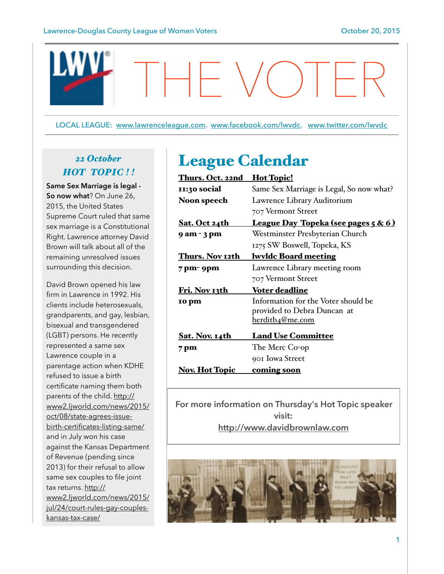

LOCAL LEAGUE: [www.lawrenceleague.com.](http://www.lawrenceleague.com) [www.facebook.com/lwvdc.](http://www.facebook.com/lwvdc) [www.twitter.com/lwvdc](http://www.twitter.com/lwvdc)

# *22 October HOT TOPIC ! !*

**Same Sex Marriage is legal - So now what**? On June 26, 2015, the United States Supreme Court ruled that same sex marriage is a Constitutional Right. Lawrence attorney David Brown will talk about all of the remaining unresolved issues surrounding this decision.

David Brown opened his law firm in Lawrence in 1992. His clients include heterosexuals, grandparents, and gay, lesbian, bisexual and transgendered (LGBT) persons. He recently represented a same sex Lawrence couple in a parentage action when KDHE refused to issue a birth certificate naming them both parents of the child. http:// [www2.ljworld.com/news/2015/](http://www2.ljworld.com/news/2015/oct/08/state-agrees-issue-birth-certificates-listing-same/) oct/08/state-agrees-issuebirth-certificates-listing-same/ and in July won his case against the Kansas Department of Revenue (pending since 2013) for their refusal to allow same sex couples to file joint tax returns. http:// [www2.ljworld.com/news/2015/](http://www2.ljworld.com/news/2015/jul/24/court-rules-gay-couples-kansas-tax-case/) jul/24/court-rules-gay-coupleskansas-tax-case/

# League Calendar

| <u>Thurs. Oct. 22nd</u> | <u>Hot Topic!</u>                              |
|-------------------------|------------------------------------------------|
| II:30 social            | Same Sex Marriage is Legal, So now what?       |
| <b>Noon speech</b>      | Lawrence Library Auditorium                    |
|                         | 707 Vermont Street                             |
| <u>Sat. Oct 24th</u>    | <u>League Day Topeka (see pages 5 &amp; 6)</u> |
| 9 am - 3 pm             | Westminster Presbyterian Church                |
|                         | 1275 SW Boswell, Topeka, KS                    |
| Thurs. Nov 12th         | <b>lwyldc Board meeting</b>                    |
| 7 pm- 9pm               | Lawrence Library meeting room                  |
|                         | 707 Vermont Street                             |
| Fri. Nov 13th           | <b>Voter deadline</b>                          |
| 10 pm                   | Information for the Voter should be            |
|                         | provided to Debra Duncan at                    |
|                         | herditb <sub>4</sub> @me.com                   |
| Sat. Nov. 14th          | <b>Land Use Committee</b>                      |
| 7 pm                    | The Merc Co-op                                 |
|                         | 901 Iowa Street                                |
| <u>Nov. Hot Topic</u>   | <u>coming soon</u>                             |

**For more information on Thursday's Hot Topic speaker visit: <http://www.davidbrownlaw.com>**

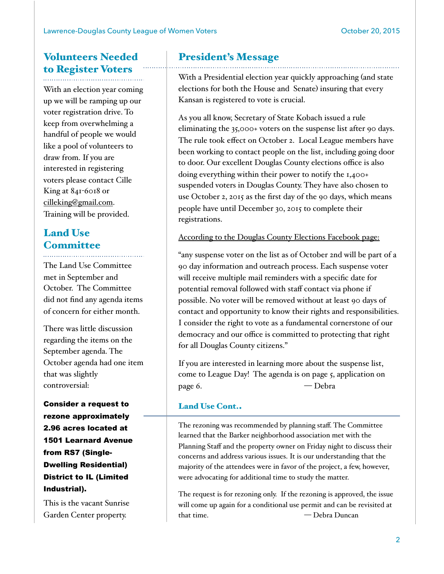# Volunteers Needed to Register Voters

With an election year coming up we will be ramping up our voter registration drive. To keep from overwhelming a handful of people we would like a pool of volunteers to draw from. If you are interested in registering voters please contact Cille King at 841-6018 or [cilleking@gmail.com.](mailto:cilleking@gmail.com) Training will be provided.

## Land Use **Committee**

The Land Use Committee met in September and October. The Committee did not find any agenda items of concern for either month.

There was little discussion regarding the items on the September agenda. The October agenda had one item that was slightly controversial:

Consider a request to rezone approximately 2.96 acres located at 1501 Learnard Avenue from RS7 (Single-Dwelling Residential) District to IL (Limited Industrial).

This is the vacant Sunrise Garden Center property.

## President's Message

With a Presidential election year quickly approaching (and state elections for both the House and Senate) insuring that every Kansan is registered to vote is crucial.

As you all know, Secretary of State Kobach issued a rule eliminating the 35,000+ voters on the suspense list after 90 days. The rule took effect on October 2. Local League members have been working to contact people on the list, including going door to door. Our excellent Douglas County elections office is also doing everything within their power to notify the 1,400+ suspended voters in Douglas County. They have also chosen to use October 2, 2015 as the first day of the 90 days, which means people have until December 30, 2015 to complete their registrations.

### According to the Douglas County Elections Facebook page:

"any suspense voter on the list as of October 2nd will be part of a 90 day information and outreach process. Each suspense voter will receive multiple mail reminders with a specific date for potential removal followed with staff contact via phone if possible. No voter will be removed without at least 90 days of contact and opportunity to know their rights and responsibilities. I consider the right to vote as a fundamental cornerstone of our democracy and our office is committed to protecting that right for all Douglas County citizens."

If you are interested in learning more about the suspense list, come to League Day! The agenda is on page 5, application on page 6. — Debra

### Land Use Cont..

The rezoning was recommended by planning staff. The Committee learned that the Barker neighborhood association met with the Planning Staff and the property owner on Friday night to discuss their concerns and address various issues. It is our understanding that the majority of the attendees were in favor of the project, a few, however, were advocating for additional time to study the matter.

The request is for rezoning only. If the rezoning is approved, the issue will come up again for a conditional use permit and can be revisited at that time. — Debra Duncan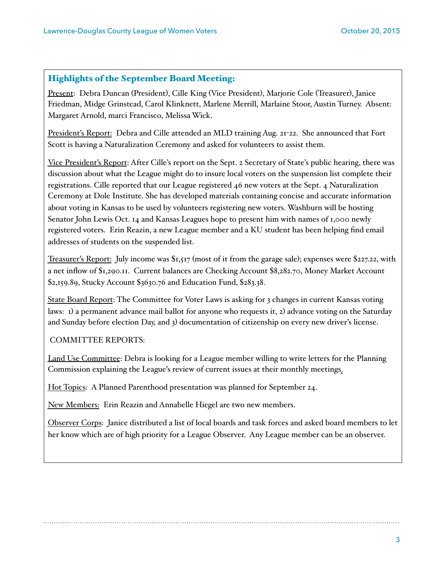### Highlights of the September Board Meeting:

Present: Debra Duncan (President), Cille King (Vice President), Marjorie Cole (Treasurer), Janice Friedman, Midge Grinstead, Carol Klinknett, Marlene Merrill, Marlaine Stoor, Austin Turney. Absent: Margaret Arnold, marci Francisco, Melissa Wick.

President's Report: Debra and Cille attended an MLD training Aug. 21-22. She announced that Fort Scott is having a Naturalization Ceremony and asked for volunteers to assist them.

Vice President's Report: After Cille's report on the Sept. 2 Secretary of State's public hearing, there was discussion about what the League might do to insure local voters on the suspension list complete their registrations. Cille reported that our League registered 46 new voters at the Sept. 4 Naturalization Ceremony at Dole Institute. She has developed materials containing concise and accurate information about voting in Kansas to be used by volunteers registering new voters. Washburn will be hosting Senator John Lewis Oct. 14 and Kansas Leagues hope to present him with names of 1,000 newly registered voters. Erin Reazin, a new League member and a KU student has been helping find email addresses of students on the suspended list.

Treasurer's Report: July income was \$1,517 (most of it from the garage sale); expenses were \$227.22, with a net inflow of \$1,290.11. Current balances are Checking Account \$8,282.70, Money Market Account \$2,159.89, Stucky Account \$3630.76 and Education Fund, \$283.38.

State Board Report: The Committee for Voter Laws is asking for 3 changes in current Kansas voting laws: 1) a permanent advance mail ballot for anyone who requests it, 2) advance voting on the Saturday and Sunday before election Day, and 3) documentation of citizenship on every new driver's license.

#### COMMITTEE REPORTS:

Land Use Committee: Debra is looking for a League member willing to write letters for the Planning Commission explaining the League's review of current issues at their monthly meetings.

Hot Topics: A Planned Parenthood presentation was planned for September 24.

New Members: Erin Reazin and Annabelle Hiegel are two new members.

Observer Corps: Janice distributed a list of local boards and task forces and asked board members to let her know which are of high priority for a League Observer. Any League member can be an observer.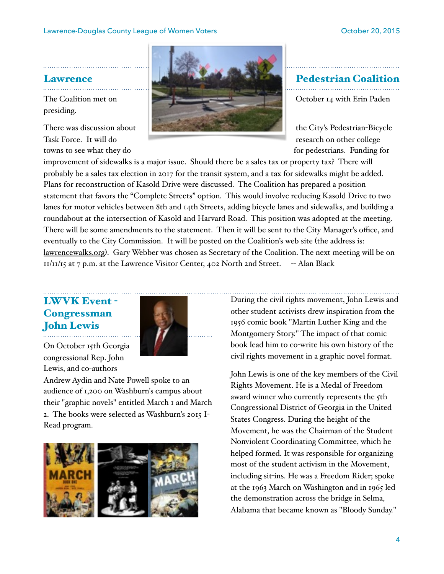presiding.



towns to see what they do for pedestrians. Funding for pedestrians. Funding for

improvement of sidewalks is a major issue. Should there be a sales tax or property tax? There will probably be a sales tax election in 2017 for the transit system, and a tax for sidewalks might be added. Plans for reconstruction of Kasold Drive were discussed. The Coalition has prepared a position statement that favors the "Complete Streets" option. This would involve reducing Kasold Drive to two lanes for motor vehicles between 8th and 14th Streets, adding bicycle lanes and sidewalks, and building a roundabout at the intersection of Kasold and Harvard Road. This position was adopted at the meeting. There will be some amendments to the statement. Then it will be sent to the City Manager's office, and eventually to the City Commission. It will be posted on the Coalition's web site (the address is: [lawrencewalks.org](http://lawrencewalks.org)). Gary Webber was chosen as Secretary of the Coalition. The next meeting will be on  $11/11/15$  at 7 p.m. at the Lawrence Visitor Center, 402 North 2nd Street. -- Alan Black

### LWVK Event - **Congressman** John Lewis



On October 15th Georgia congressional Rep. John Lewis, and co-authors

Andrew Aydin and Nate Powell spoke to an audience of 1,200 on Washburn's campus about their "graphic novels" entitled March 1 and March 2. The books were selected as Washburn's 2015 I-Read program.



During the civil rights movement, John Lewis and other student activists drew inspiration from the 1956 comic book "Martin Luther King and the Montgomery Story." The impact of that comic book lead him to co-write his own history of the civil rights movement in a graphic novel format.

John Lewis is one of the key members of the Civil Rights Movement. He is a Medal of Freedom award winner who currently represents the 5th Congressional District of Georgia in the United States Congress. During the height of the Movement, he was the Chairman of the Student Nonviolent Coordinating Committee, which he helped formed. It was responsible for organizing most of the student activism in the Movement, including sit-ins. He was a Freedom Rider; spoke at the 1963 March on Washington and in 1965 led the demonstration across the bridge in Selma, Alabama that became known as "Bloody Sunday."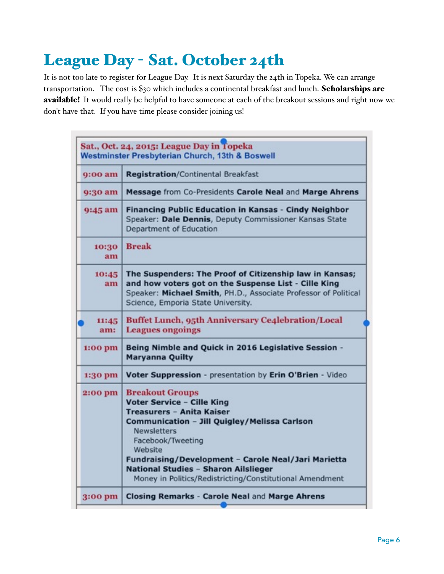# League Day - Sat. October 24th

It is not too late to register for League Day. It is next Saturday the 24th in Topeka. We can arrange transportation. The cost is \$30 which includes a continental breakfast and lunch. Scholarships are available! It would really be helpful to have someone at each of the breakout sessions and right now we don't have that. If you have time please consider joining us!

|              | Sat., Oct. 24, 2015: League Day in Topeka<br>Westminster Presbyterian Church, 13th & Boswell                                                                                                                                                                                                                                                                     |
|--------------|------------------------------------------------------------------------------------------------------------------------------------------------------------------------------------------------------------------------------------------------------------------------------------------------------------------------------------------------------------------|
| $9:00$ am    | <b>Registration/Continental Breakfast</b>                                                                                                                                                                                                                                                                                                                        |
| 9:30 am      | Message from Co-Presidents Carole Neal and Marge Ahrens                                                                                                                                                                                                                                                                                                          |
| 9:45 am      | Financing Public Education in Kansas - Cindy Neighbor<br>Speaker: Dale Dennis, Deputy Commissioner Kansas State<br>Department of Education                                                                                                                                                                                                                       |
| 10:30<br>am  | <b>Break</b>                                                                                                                                                                                                                                                                                                                                                     |
| 10:45<br>am  | The Suspenders: The Proof of Citizenship law in Kansas;<br>and how voters got on the Suspense List - Cille King<br>Speaker: Michael Smith, PH.D., Associate Professor of Political<br>Science, Emporia State University.                                                                                                                                         |
| 11:45<br>am: | <b>Buffet Lunch, 95th Anniversary Ce4lebration/Local</b><br><b>Leagues ongoings</b>                                                                                                                                                                                                                                                                              |
| 1:00 pm      | Being Nimble and Quick in 2016 Legislative Session -<br><b>Maryanna Quilty</b>                                                                                                                                                                                                                                                                                   |
| 1:30 pm      | Voter Suppression - presentation by Erin O'Brien - Video                                                                                                                                                                                                                                                                                                         |
| 2:00 pm      | <b>Breakout Groups</b><br><b>Voter Service - Cille King</b><br><b>Treasurers - Anita Kaiser</b><br>Communication - Jill Quigley/Melissa Carlson<br><b>Newsletters</b><br>Facebook/Tweeting<br>Website<br>Fundraising/Development - Carole Neal/Jari Marietta<br>National Studies - Sharon Ailslieger<br>Money in Politics/Redistricting/Constitutional Amendment |
| 3:00 pm      | Closing Remarks - Carole Neal and Marge Ahrens                                                                                                                                                                                                                                                                                                                   |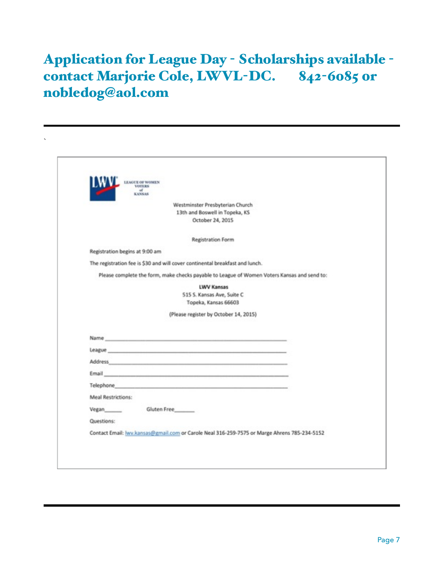# Application for League Day - Scholarships available contact Marjorie Cole, LWVL-DC. 842-6085 0r nobledog@aol.com

`

|                                | LEAGUE OF WOMEN<br>VOTERS                                                                                                                                                                                                     |
|--------------------------------|-------------------------------------------------------------------------------------------------------------------------------------------------------------------------------------------------------------------------------|
|                                | KANSAS                                                                                                                                                                                                                        |
|                                | Westminster Presbyterian Church                                                                                                                                                                                               |
|                                | 13th and Boswell in Topeka, KS                                                                                                                                                                                                |
|                                | October 24, 2015                                                                                                                                                                                                              |
|                                | <b>Registration Form</b>                                                                                                                                                                                                      |
| Registration begins at 9:00 am |                                                                                                                                                                                                                               |
|                                | The registration fee is \$30 and will cover continental breakfast and lunch.                                                                                                                                                  |
|                                | Please complete the form, make checks payable to League of Women Voters Kansas and send to:                                                                                                                                   |
|                                | <b>LWV Kansas</b>                                                                                                                                                                                                             |
|                                | 515 S. Kansas Ave, Suite C                                                                                                                                                                                                    |
|                                | Topeka, Kansas 66603                                                                                                                                                                                                          |
|                                | (Please register by October 14, 2015)                                                                                                                                                                                         |
|                                |                                                                                                                                                                                                                               |
|                                |                                                                                                                                                                                                                               |
|                                | League and the contract of the contract of the contract of the contract of the contract of the contract of the                                                                                                                |
|                                |                                                                                                                                                                                                                               |
|                                | Email and the company of the company of the company of the company of the company of the company of                                                                                                                           |
|                                | Telephone and the contract of the contract of the contract of the contract of the contract of the contract of the contract of the contract of the contract of the contract of the contract of the contract of the contract of |
|                                |                                                                                                                                                                                                                               |
| Meal Restrictions:             |                                                                                                                                                                                                                               |
| Vegan                          | Gluten Free                                                                                                                                                                                                                   |
|                                |                                                                                                                                                                                                                               |
| Questions:                     | Contact Email: www.kansas@gmail.com or Carole Neal 316-259-7575 or Marge Ahrens 785-234-5152                                                                                                                                  |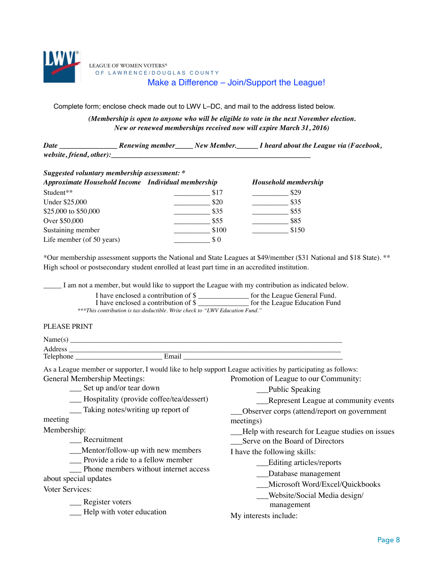

Complete form; enclose check made out to LWV L–DC, and mail to the address listed below.

*(Membership is open to anyone who will be eligible to vote in the next November election. New or renewed memberships received now will expire March 31, 2016)* 

*Date \_\_\_\_\_\_\_\_\_\_\_\_\_\_\_\_ Renewing member\_\_\_\_\_ New Member.\_\_\_\_\_\_ I heard about the League via (Facebook, website, friend, other):* 

| Suggested voluntary membership assessment: *       |       |                             |  |  |  |
|----------------------------------------------------|-------|-----------------------------|--|--|--|
| Approximate Household Income Individual membership |       | <b>Household membership</b> |  |  |  |
| Student**                                          | \$17  | \$29                        |  |  |  |
| Under \$25,000                                     | \$20  | \$35                        |  |  |  |
| \$25,000 to \$50,000                               | \$35  | \$55                        |  |  |  |
| Over \$50,000                                      | \$55  | \$85                        |  |  |  |
| Sustaining member                                  | \$100 | \$150                       |  |  |  |
| Life member (of 50 years)                          | SO.   |                             |  |  |  |

\*Our membership assessment supports the National and State Leagues at \$49/member (\$31 National and \$18 State). \*\* High school or postsecondary student enrolled at least part time in an accredited institution.

I am not a member, but would like to support the League with my contribution as indicated below.

| I have enclosed a contribution of \$                                         | for the League General Fund.  |
|------------------------------------------------------------------------------|-------------------------------|
| I have enclosed a contribution of \$                                         | for the League Education Fund |
| ***This contribution is tax-deductible. Write check to "LWV Education Fund." |                               |

#### PLEASE PRINT

| Name(s)   |       |  |
|-----------|-------|--|
| Address   |       |  |
| Telephone | Email |  |
|           |       |  |

As a League member or supporter, I would like to help support League activities by participating as follows:

General Membership Meetings: Promotion of League to our Community:

\_\_\_ Set up and/or tear down \_\_\_ Hospitality (provide coffee/tea/dessert)

\_\_\_ Taking notes/writing up report of

meeting

Membership:

\_\_\_ Recruitment

\_\_\_Mentor/follow-up with new members

\_\_\_ Provide a ride to a fellow member

\_\_\_ Phone members without internet access about special updates

Voter Services:

Register voters

\_\_\_ Help with voter education

\_\_\_Editing articles/reports \_\_\_Database management

\_\_\_Serve on the Board of Directors

I have the following skills:

\_\_Public Speaking

\_\_\_Microsoft Word/Excel/Quickbooks

\_\_\_Represent League at community events

\_\_\_Observer corps (attend/report on government

Help with research for League studies on issues

\_\_\_Website/Social Media design/ management

My interests include:

meetings)